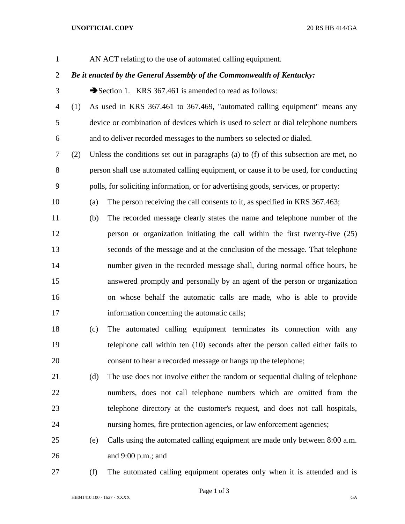## **UNOFFICIAL COPY** 20 RS HB 414/GA

AN ACT relating to the use of automated calling equipment.

## *Be it enacted by the General Assembly of the Commonwealth of Kentucky:*

- 3 Section 1. KRS 367.461 is amended to read as follows:
- (1) As used in KRS 367.461 to 367.469, "automated calling equipment" means any device or combination of devices which is used to select or dial telephone numbers and to deliver recorded messages to the numbers so selected or dialed.
- (2) Unless the conditions set out in paragraphs (a) to (f) of this subsection are met, no person shall use automated calling equipment, or cause it to be used, for conducting polls, for soliciting information, or for advertising goods, services, or property:
- (a) The person receiving the call consents to it, as specified in KRS 367.463;
- (b) The recorded message clearly states the name and telephone number of the person or organization initiating the call within the first twenty-five (25) seconds of the message and at the conclusion of the message. That telephone number given in the recorded message shall, during normal office hours, be answered promptly and personally by an agent of the person or organization on whose behalf the automatic calls are made, who is able to provide information concerning the automatic calls;
- (c) The automated calling equipment terminates its connection with any telephone call within ten (10) seconds after the person called either fails to consent to hear a recorded message or hangs up the telephone;
- (d) The use does not involve either the random or sequential dialing of telephone numbers, does not call telephone numbers which are omitted from the telephone directory at the customer's request, and does not call hospitals, nursing homes, fire protection agencies, or law enforcement agencies;
- (e) Calls using the automated calling equipment are made only between 8:00 a.m. and 9:00 p.m.; and
- 

(f) The automated calling equipment operates only when it is attended and is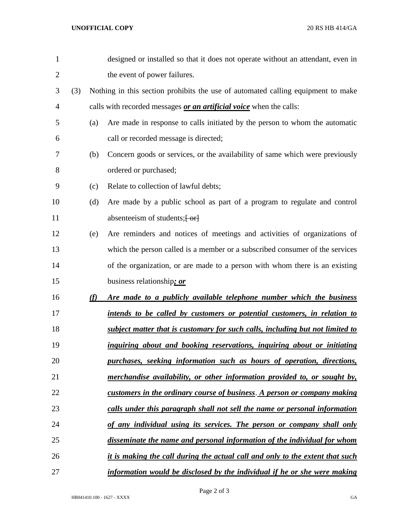| $\mathbf{1}$   |     |     | designed or installed so that it does not operate without an attendant, even in  |
|----------------|-----|-----|----------------------------------------------------------------------------------|
| $\overline{2}$ |     |     | the event of power failures.                                                     |
| 3              | (3) |     | Nothing in this section prohibits the use of automated calling equipment to make |
| 4              |     |     | calls with recorded messages or an artificial voice when the calls:              |
| 5              |     | (a) | Are made in response to calls initiated by the person to whom the automatic      |
| 6              |     |     | call or recorded message is directed;                                            |
| 7              |     | (b) | Concern goods or services, or the availability of same which were previously     |
| 8              |     |     | ordered or purchased;                                                            |
| 9              |     | (c) | Relate to collection of lawful debts;                                            |
| 10             |     | (d) | Are made by a public school as part of a program to regulate and control         |
| 11             |     |     | absenteeism of students; $\left\{ \frac{\alpha}{\alpha} \right\}$                |
| 12             |     | (e) | Are reminders and notices of meetings and activities of organizations of         |
| 13             |     |     | which the person called is a member or a subscribed consumer of the services     |
| 14             |     |     | of the organization, or are made to a person with whom there is an existing      |
| 15             |     |     | business relationship; or                                                        |
| 16             |     | (f) | Are made to a publicly available telephone number which the business             |
| 17             |     |     | intends to be called by customers or potential customers, in relation to         |
| 18             |     |     | subject matter that is customary for such calls, including but not limited to    |
| 19             |     |     | inquiring about and booking reservations, inquiring about or initiating          |
| 20             |     |     | purchases, seeking information such as hours of operation, directions,           |
| 21             |     |     | merchandise availability, or other information provided to, or sought by,        |
| 22             |     |     | customers in the ordinary course of business. A person or company making         |
| 23             |     |     | calls under this paragraph shall not sell the name or personal information       |
| 24             |     |     | of any individual using its services. The person or company shall only           |
| 25             |     |     | disseminate the name and personal information of the individual for whom         |
| 26             |     |     | it is making the call during the actual call and only to the extent that such    |
| 27             |     |     | information would be disclosed by the individual if he or she were making        |